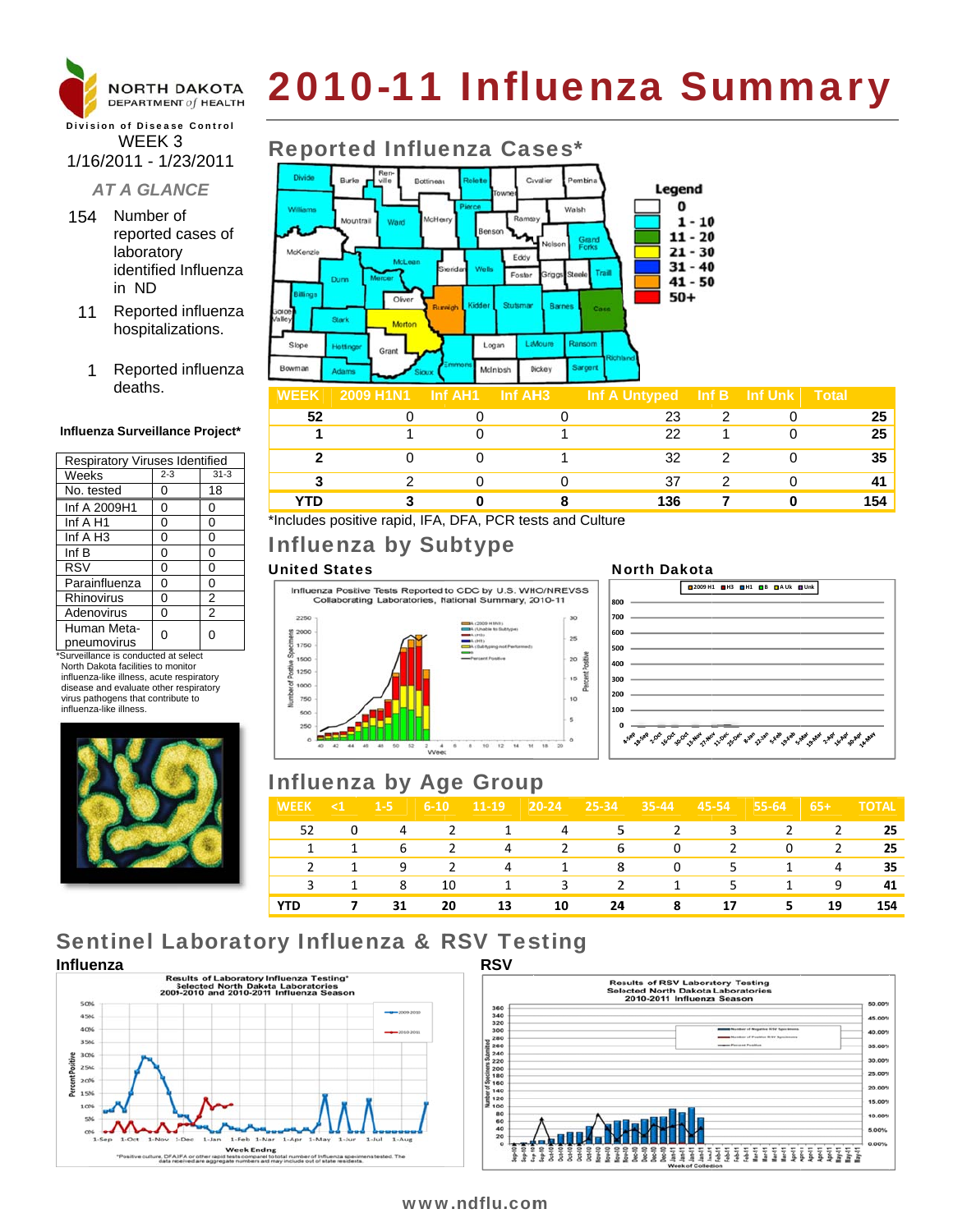

# 2010-11 Influenza Summary

#### **Division of Disease Control** WEEK 3 1/16/2011 - 1/23/2011

#### **AT A GLANCE**

- 154 Number of reported cases of laboratory identified Influenza in ND
- Reported influenza  $11$ hospitalizations.
- Reported influenza 1 deaths.

#### Influenza Surveillance Project\*

| Respiratory Viruses Identified |                |  |  |  |  |
|--------------------------------|----------------|--|--|--|--|
| $2 - 3$                        | $31 - 3$       |  |  |  |  |
| 0                              | 18             |  |  |  |  |
| 0                              | 0              |  |  |  |  |
| 0                              | 0              |  |  |  |  |
| 0                              | 0              |  |  |  |  |
| 0                              | 0              |  |  |  |  |
| 0                              | 0              |  |  |  |  |
| 0                              | 0              |  |  |  |  |
| 0                              | 2              |  |  |  |  |
| 0                              | $\overline{2}$ |  |  |  |  |
|                                | U              |  |  |  |  |
|                                |                |  |  |  |  |

\*Surveillance is conducted at select North Dakota facilities to monitor influenza-like illness, acute respiratory disease and evaluate other respiratory virus pathogens that contribute to influenza-like illness





#### **Inf Unk Total**  $\overline{0}$  $\overline{25}$  $\mathbf{1}$  $\overline{1}$  $\mathbf 0$ 22  $\mathbf{1}$  $\mathbf 0$ 25  $\mathbf{1}$  $\overline{2}$  $32$  $\overline{2}$  $35$ 0  $\Omega$ 1  $\mathbf 0$  $\overline{\mathbf{3}}$  $\overline{2}$  $\overline{2}$  $\mathbf 0$  $\mathbf 0$ 37  $\overline{0}$ 41 **YTD** 3  $\bf{0}$ 8 136  $\overline{7}$  $\bf{0}$ 154

\*Includes positive rapid, IFA, DFA, PCR tests and Culture

# **Influenza by Subtype**

#### **United States**



#### **North Dakota**



# **Influenza by Age Group**

| <b>WEEK</b> | $\leq 1$ | $1 - 5$ | $6 - 10$ | $11-19$ | $20 - 24$ | 25-34         | $35 - 44$ | 45-54 | 55-64 | $65+$ | <b>TOTAL</b> |
|-------------|----------|---------|----------|---------|-----------|---------------|-----------|-------|-------|-------|--------------|
| 52          | 0        | 4       | 2        |         | 4         | 5.            | 2         | 3     | 2     | 2     | 25           |
|             |          | 6       | 2        | 4       | 2         | 6             | $\Omega$  | 2     | 0     | 2     | 25           |
|             |          | 9       |          | 4       |           | 8             | 0         | 5.    |       | 4     | 35           |
|             | 1        | 8       | 10       |         | 3         | $\mathcal{P}$ | 1         | 5.    | 1     | 9     | 41           |
| <b>YTD</b>  |          | 31      | 20       | 13      | 10        | 24            | 8         | 17    | 5.    | 19    | 154          |

# **Sentinel Laboratory Influenza & RSV Testing**





#### www.ndflu.com